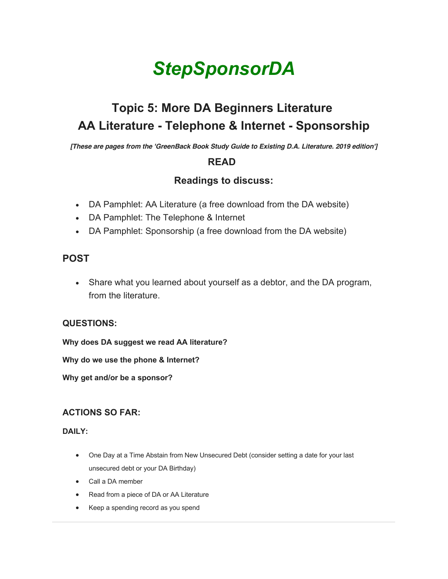# *StepSponsorDA*

# **Topic 5: More DA Beginners Literature AA Literature - Telephone & Internet - Sponsorship**

*[These are pages from the 'GreenBack Book Study Guide to Existing D.A. Literature. 2019 edition']*

## **READ**

# **Readings to discuss:**

- DA Pamphlet: AA Literature (a free download from the DA website)
- DA Pamphlet: The Telephone & Internet
- DA Pamphlet: Sponsorship (a free download from the DA website)

### **POST**

• Share what you learned about yourself as a debtor, and the DA program, from the literature.

#### **QUESTIONS:**

**Why does DA suggest we read AA literature?**

**Why do we use the phone & Internet?**

**Why get and/or be a sponsor?**

#### **ACTIONS SO FAR:**

**DAILY:**

- One Day at a Time Abstain from New Unsecured Debt (consider setting a date for your last unsecured debt or your DA Birthday)
- Call a DA member
- Read from a piece of DA or AA Literature
- Keep a spending record as you spend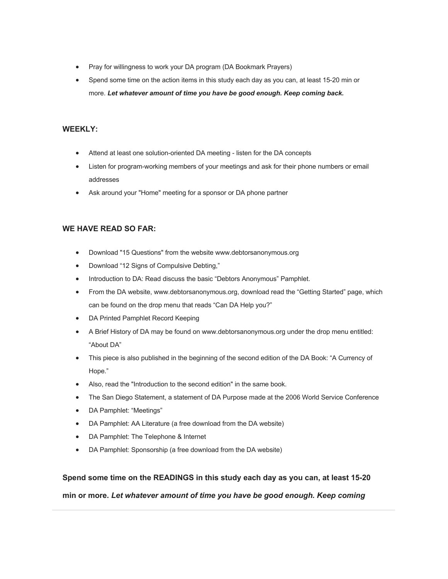- Pray for willingness to work your DA program (DA Bookmark Prayers)
- Spend some time on the action items in this study each day as you can, at least 15-20 min or more. *Let whatever amount of time you have be good enough. Keep coming back.*

#### **WEEKLY:**

- Attend at least one solution-oriented DA meeting listen for the DA concepts
- Listen for program-working members of your meetings and ask for their phone numbers or email addresses
- Ask around your "Home" meeting for a sponsor or DA phone partner

#### **WE HAVE READ SO FAR:**

- Download "15 Questions" from the website www.debtorsanonymous.org
- Download "12 Signs of Compulsive Debting,"
- Introduction to DA: Read discuss the basic "Debtors Anonymous" Pamphlet.
- From the DA website, www.debtorsanonymous.org, download read the "Getting Started" page, which can be found on the drop menu that reads "Can DA Help you?"
- DA Printed Pamphlet Record Keeping
- A Brief History of DA may be found on www.debtorsanonymous.org under the drop menu entitled: "About DA"
- This piece is also published in the beginning of the second edition of the DA Book: "A Currency of Hope."
- Also, read the "Introduction to the second edition" in the same book.
- The San Diego Statement, a statement of DA Purpose made at the 2006 World Service Conference
- DA Pamphlet: "Meetings"
- DA Pamphlet: AA Literature (a free download from the DA website)
- DA Pamphlet: The Telephone & Internet
- DA Pamphlet: Sponsorship (a free download from the DA website)

#### **Spend some time on the READINGS in this study each day as you can, at least 15-20**

**min or more.** *Let whatever amount of time you have be good enough. Keep coming*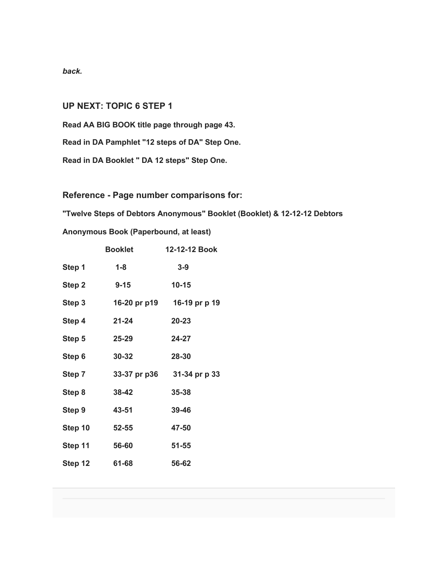*back.*

#### **UP NEXT: TOPIC 6 STEP 1**

**Read AA BIG BOOK title page through page 43.**

**Read in DA Pamphlet "12 steps of DA" Step One.**

**Read in DA Booklet " DA 12 steps" Step One.**

**Reference - Page number comparisons for:**

**"Twelve Steps of Debtors Anonymous" Booklet (Booklet) & 12-12-12 Debtors** 

**Anonymous Book (Paperbound, at least)**

|         | <b>Booklet</b> | 12-12-12 Book              |
|---------|----------------|----------------------------|
| Step 1  | $1-8$          | $3-9$                      |
| Step 2  | $9 - 15$       | $10 - 15$                  |
| Step 3  |                | 16-20 pr p19 16-19 pr p 19 |
| Step 4  | 21-24          | $20 - 23$                  |
| Step 5  | $25 - 29$      | 24-27                      |
| Step 6  | $30 - 32$      | 28-30                      |
| Step 7  | 33-37 pr p36   | 31-34 pr p 33              |
| Step 8  | $38 - 42$      | $35 - 38$                  |
| Step 9  | 43-51          | 39-46                      |
| Step 10 | $52 - 55$      | 47-50                      |
| Step 11 | 56-60          | $51 - 55$                  |
| Step 12 | 61-68          | 56-62                      |